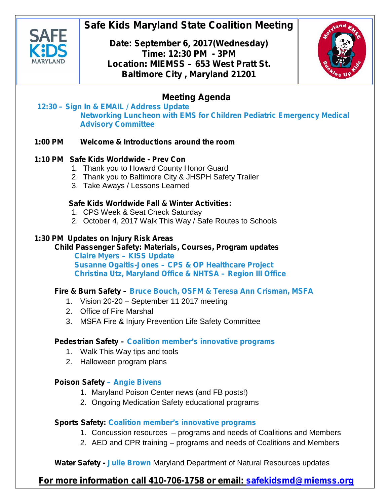

# **Safe Kids Maryland State Coalition Meeting**

**Date: September 6, 2017(Wednesday) Time: 12:30 PM - 3PM Location: MIEMSS – 653 West Pratt St. Baltimore City , Maryland 21201**



## **Meeting Agenda**

#### **12:30 – Sign In & EMAIL / Address Update Networking Luncheon with EMS for Children Pediatric Emergency Medical Advisory Committee**

#### **1:00 PM Welcome & Introductions around the room**

### **1:10 PM Safe Kids Worldwide - Prev Con**

- 1. Thank you to Howard County Honor Guard
- 2. Thank you to Baltimore City & JHSPH Safety Trailer
- 3. Take Aways / Lessons Learned

#### **Safe Kids Worldwide Fall & Winter Activities:**

- 1. CPS Week & Seat Check Saturday
- 2. October 4, 2017 Walk This Way / Safe Routes to Schools

#### **1:30 PM Updates on Injury Risk Areas**

## **Child Passenger Safety: Materials, Courses, Program updates**

**Claire Myers – KISS Update Susanne Ogaitis-Jones – CPS & OP Healthcare Project Christina Utz, Maryland Office & NHTSA – Region III Office**

#### **Fire & Burn Safety – Bruce Bouch, OSFM & Teresa Ann Crisman, MSFA**

- 1. Vision 20-20 September 11 2017 meeting
- 2. Office of Fire Marshal
- 3. MSFA Fire & Injury Prevention Life Safety Committee

#### **Pedestrian Safety – Coalition member's innovative programs**

- 1. Walk This Way tips and tools
- 2. Halloween program plans

### **Poison Safety – Angie Bivens**

- 1. Maryland Poison Center news (and FB posts!)
- 2. Ongoing Medication Safety educational programs

### **Sports Safety: Coalition member's innovative programs**

- 1. Concussion resources programs and needs of Coalitions and Members
- 2. AED and CPR training programs and needs of Coalitions and Members

**Water Safety - Julie Brown** Maryland Department of Natural Resources updates

## **For more information call 410-706-1758 or email: safekidsmd@miemss.org**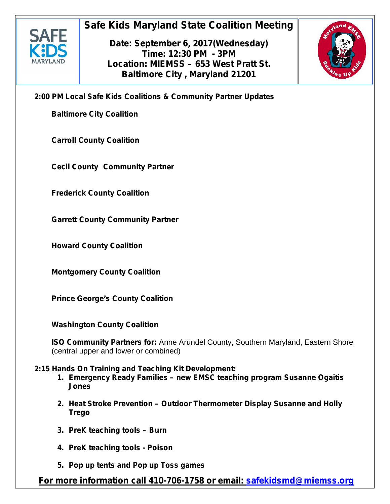

# **Safe Kids Maryland State Coalition Meeting**

**Date: September 6, 2017(Wednesday) Time: 12:30 PM - 3PM Location: MIEMSS – 653 West Pratt St. Baltimore City , Maryland 21201**



**2:00 PM Local Safe Kids Coalitions & Community Partner Updates**

**Baltimore City Coalition**

**Carroll County Coalition**

**Cecil County Community Partner**

**Frederick County Coalition**

**Garrett County Community Partner**

**Howard County Coalition**

**Montgomery County Coalition**

**Prince George's County Coalition**

**Washington County Coalition**

**ISO Community Partners for:** Anne Arundel County, Southern Maryland, Eastern Shore (central upper and lower or combined)

#### **2:15 Hands On Training and Teaching Kit Development:**

- **1. Emergency Ready Families – new EMSC teaching program Susanne Ogaitis Jones**
- **2. Heat Stroke Prevention – Outdoor Thermometer Display Susanne and Holly Trego**
- **3. PreK teaching tools – Burn**
- **4. PreK teaching tools - Poison**
- **5. Pop up tents and Pop up Toss games**

**For more information call 410-706-1758 or email: safekidsmd@miemss.org**